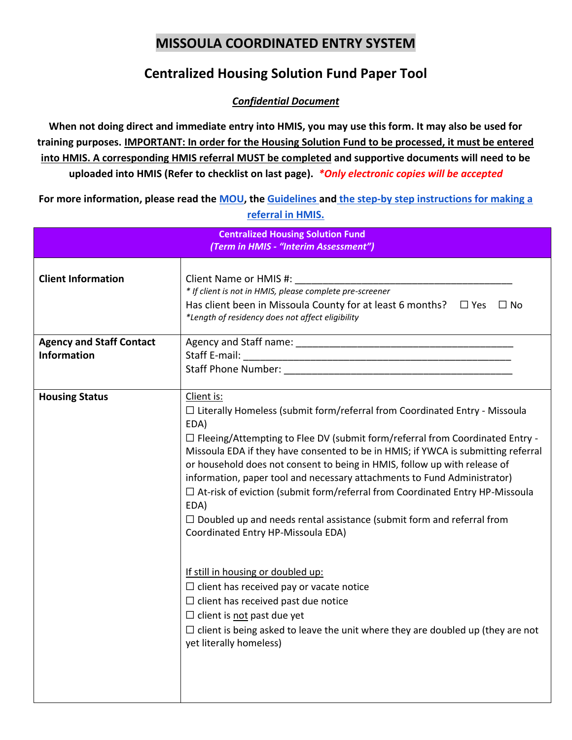## **MISSOULA COORDINATED ENTRY SYSTEM**

## **Centralized Housing Solution Fund Paper Tool**

*Confidential Document*

**When not doing direct and immediate entry into HMIS, you may use this form. It may also be used for training purposes. IMPORTANT: In order for the Housing Solution Fund to be processed, it must be entered into HMIS. A corresponding HMIS referral MUST be completed and supportive documents will need to be uploaded into HMIS (Refer to checklist on last page).** *\*Only electronic copies will be accepted*

**For more information, please read the [MOU,](https://docs.google.com/document/d/1s-XhJHF7GivR1v_afh6GiYyOPL3k0dCsD9IbUmAynKc/edit?usp=sharing) the [Guidelines](https://drive.google.com/file/d/19LFbobcC7OKBGDWMDuQNjZBl4VMBVLFT/view?usp=sharing) and [the step-by step instructions for making a](https://drive.google.com/open?id=10NzCIF79OCJRzmLVv_8OgpVVGinhdTO_)  [referral in HMIS.](https://drive.google.com/open?id=10NzCIF79OCJRzmLVv_8OgpVVGinhdTO_)** 

| <b>Centralized Housing Solution Fund</b><br>(Term in HMIS - "Interim Assessment") |                                                                                                                                                                                                                                                                                                                                                                                                                                                                                                                                                                                                                                                                                                                                                                                                                                                                                                                                                                    |
|-----------------------------------------------------------------------------------|--------------------------------------------------------------------------------------------------------------------------------------------------------------------------------------------------------------------------------------------------------------------------------------------------------------------------------------------------------------------------------------------------------------------------------------------------------------------------------------------------------------------------------------------------------------------------------------------------------------------------------------------------------------------------------------------------------------------------------------------------------------------------------------------------------------------------------------------------------------------------------------------------------------------------------------------------------------------|
| <b>Client Information</b>                                                         | Client Name or HMIS #:<br>* If client is not in HMIS, please complete pre-screener<br>Has client been in Missoula County for at least 6 months? $\Box$ Yes $\Box$ No<br>*Length of residency does not affect eligibility                                                                                                                                                                                                                                                                                                                                                                                                                                                                                                                                                                                                                                                                                                                                           |
| <b>Agency and Staff Contact</b><br><b>Information</b>                             | Staff Phone Number: The Contract of the Contract of the Contract of the Contract of the Contract of the Contract of the Contract of the Contract of the Contract of the Contract of the Contract of the Contract of the Contra                                                                                                                                                                                                                                                                                                                                                                                                                                                                                                                                                                                                                                                                                                                                     |
| <b>Housing Status</b>                                                             | Client is:<br>$\Box$ Literally Homeless (submit form/referral from Coordinated Entry - Missoula<br>EDA)<br>$\Box$ Fleeing/Attempting to Flee DV (submit form/referral from Coordinated Entry -<br>Missoula EDA if they have consented to be in HMIS; if YWCA is submitting referral<br>or household does not consent to being in HMIS, follow up with release of<br>information, paper tool and necessary attachments to Fund Administrator)<br>$\Box$ At-risk of eviction (submit form/referral from Coordinated Entry HP-Missoula<br>EDA)<br>$\Box$ Doubled up and needs rental assistance (submit form and referral from<br>Coordinated Entry HP-Missoula EDA)<br>If still in housing or doubled up:<br>$\Box$ client has received pay or vacate notice<br>$\Box$ client has received past due notice<br>$\Box$ client is not past due yet<br>$\Box$ client is being asked to leave the unit where they are doubled up (they are not<br>yet literally homeless) |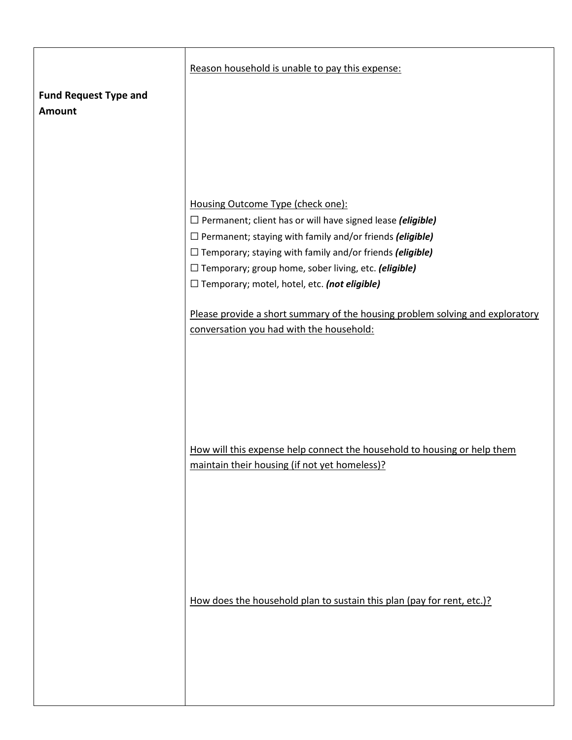|                              | Reason household is unable to pay this expense:                               |
|------------------------------|-------------------------------------------------------------------------------|
|                              |                                                                               |
| <b>Fund Request Type and</b> |                                                                               |
| Amount                       |                                                                               |
|                              |                                                                               |
|                              |                                                                               |
|                              |                                                                               |
|                              |                                                                               |
|                              | Housing Outcome Type (check one):                                             |
|                              | $\Box$ Permanent; client has or will have signed lease (eligible)             |
|                              | $\square$ Permanent; staying with family and/or friends (eligible)            |
|                              | $\Box$ Temporary; staying with family and/or friends (eligible)               |
|                              | $\Box$ Temporary; group home, sober living, etc. (eligible)                   |
|                              | $\Box$ Temporary; motel, hotel, etc. (not eligible)                           |
|                              |                                                                               |
|                              | Please provide a short summary of the housing problem solving and exploratory |
|                              | conversation you had with the household:                                      |
|                              |                                                                               |
|                              |                                                                               |
|                              |                                                                               |
|                              |                                                                               |
|                              |                                                                               |
|                              |                                                                               |
|                              |                                                                               |
|                              | How will this expense help connect the household to housing or help them      |
|                              | maintain their housing (if not yet homeless)?                                 |
|                              |                                                                               |
|                              |                                                                               |
|                              |                                                                               |
|                              |                                                                               |
|                              |                                                                               |
|                              |                                                                               |
|                              |                                                                               |
|                              |                                                                               |
|                              | How does the household plan to sustain this plan (pay for rent, etc.)?        |
|                              |                                                                               |
|                              |                                                                               |
|                              |                                                                               |
|                              |                                                                               |
|                              |                                                                               |
|                              |                                                                               |
|                              |                                                                               |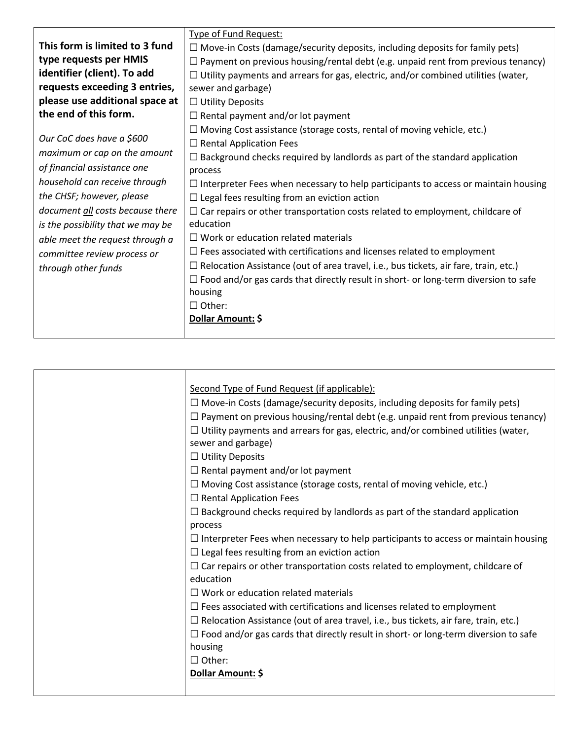|                                   | <b>Type of Fund Request:</b>                                                                |
|-----------------------------------|---------------------------------------------------------------------------------------------|
| This form is limited to 3 fund    | $\Box$ Move-in Costs (damage/security deposits, including deposits for family pets)         |
| type requests per HMIS            | $\Box$ Payment on previous housing/rental debt (e.g. unpaid rent from previous tenancy)     |
| identifier (client). To add       | $\Box$ Utility payments and arrears for gas, electric, and/or combined utilities (water,    |
| requests exceeding 3 entries,     | sewer and garbage)                                                                          |
| please use additional space at    |                                                                                             |
|                                   | $\Box$ Utility Deposits                                                                     |
| the end of this form.             | $\Box$ Rental payment and/or lot payment                                                    |
|                                   | $\Box$ Moving Cost assistance (storage costs, rental of moving vehicle, etc.)               |
| Our CoC does have a \$600         | $\Box$ Rental Application Fees                                                              |
| maximum or cap on the amount      | $\Box$ Background checks required by landlords as part of the standard application          |
| of financial assistance one       | process                                                                                     |
| household can receive through     | $\Box$ Interpreter Fees when necessary to help participants to access or maintain housing   |
| the CHSF; however, please         | $\Box$ Legal fees resulting from an eviction action                                         |
| document all costs because there  | $\Box$ Car repairs or other transportation costs related to employment, childcare of        |
| is the possibility that we may be | education                                                                                   |
| able meet the request through a   | $\Box$ Work or education related materials                                                  |
| committee review process or       | $\Box$ Fees associated with certifications and licenses related to employment               |
| through other funds               | $\Box$ Relocation Assistance (out of area travel, i.e., bus tickets, air fare, train, etc.) |
|                                   | $\Box$ Food and/or gas cards that directly result in short- or long-term diversion to safe  |
|                                   | housing                                                                                     |
|                                   | $\Box$ Other:                                                                               |
|                                   | Dollar Amount: \$                                                                           |
|                                   |                                                                                             |

| Second Type of Fund Request (if applicable):                                                |
|---------------------------------------------------------------------------------------------|
| $\Box$ Move-in Costs (damage/security deposits, including deposits for family pets)         |
| $\Box$ Payment on previous housing/rental debt (e.g. unpaid rent from previous tenancy)     |
| $\Box$ Utility payments and arrears for gas, electric, and/or combined utilities (water,    |
| sewer and garbage)                                                                          |
| $\Box$ Utility Deposits                                                                     |
| $\Box$ Rental payment and/or lot payment                                                    |
| $\Box$ Moving Cost assistance (storage costs, rental of moving vehicle, etc.)               |
| $\Box$ Rental Application Fees                                                              |
| $\Box$ Background checks required by landlords as part of the standard application          |
| process                                                                                     |
| $\Box$ Interpreter Fees when necessary to help participants to access or maintain housing   |
| $\Box$ Legal fees resulting from an eviction action                                         |
| $\Box$ Car repairs or other transportation costs related to employment, childcare of        |
| education                                                                                   |
| $\Box$ Work or education related materials                                                  |
| $\Box$ Fees associated with certifications and licenses related to employment               |
| $\Box$ Relocation Assistance (out of area travel, i.e., bus tickets, air fare, train, etc.) |
| $\Box$ Food and/or gas cards that directly result in short- or long-term diversion to safe  |
| housing                                                                                     |
| $\Box$ Other:                                                                               |
| Dollar Amount: \$                                                                           |
|                                                                                             |